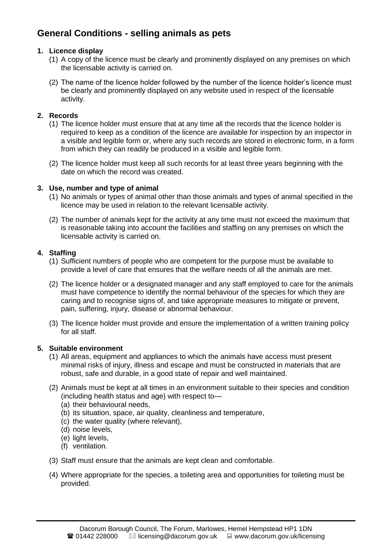# **General Conditions - selling animals as pets**

# **1. Licence display**

- (1) A copy of the licence must be clearly and prominently displayed on any premises on which the licensable activity is carried on.
- (2) The name of the licence holder followed by the number of the licence holder's licence must be clearly and prominently displayed on any website used in respect of the licensable activity.

# **2. Records**

- (1) The licence holder must ensure that at any time all the records that the licence holder is required to keep as a condition of the licence are available for inspection by an inspector in a visible and legible form or, where any such records are stored in electronic form, in a form from which they can readily be produced in a visible and legible form.
- (2) The licence holder must keep all such records for at least three years beginning with the date on which the record was created.

# **3. Use, number and type of animal**

- (1) No animals or types of animal other than those animals and types of animal specified in the licence may be used in relation to the relevant licensable activity.
- (2) The number of animals kept for the activity at any time must not exceed the maximum that is reasonable taking into account the facilities and staffing on any premises on which the licensable activity is carried on.

# **4. Staffing**

- (1) Sufficient numbers of people who are competent for the purpose must be available to provide a level of care that ensures that the welfare needs of all the animals are met.
- (2) The licence holder or a designated manager and any staff employed to care for the animals must have competence to identify the normal behaviour of the species for which they are caring and to recognise signs of, and take appropriate measures to mitigate or prevent, pain, suffering, injury, disease or abnormal behaviour.
- (3) The licence holder must provide and ensure the implementation of a written training policy for all staff.

# **5. Suitable environment**

- (1) All areas, equipment and appliances to which the animals have access must present minimal risks of injury, illness and escape and must be constructed in materials that are robust, safe and durable, in a good state of repair and well maintained.
- (2) Animals must be kept at all times in an environment suitable to their species and condition (including health status and age) with respect to—
	- (a) their behavioural needs,
	- (b) its situation, space, air quality, cleanliness and temperature,
	- (c) the water quality (where relevant),
	- (d) noise levels,
	- (e) light levels,
	- (f) ventilation.
- (3) Staff must ensure that the animals are kept clean and comfortable.
- (4) Where appropriate for the species, a toileting area and opportunities for toileting must be provided.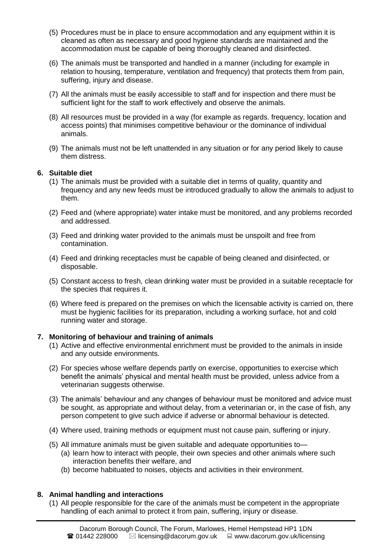- (5) Procedures must be in place to ensure accommodation and any equipment within it is cleaned as often as necessary and good hygiene standards are maintained and the accommodation must be capable of being thoroughly cleaned and disinfected.
- (6) The animals must be transported and handled in a manner (including for example in relation to housing, temperature, ventilation and frequency) that protects them from pain, suffering, injury and disease.
- (7) All the animals must be easily accessible to staff and for inspection and there must be sufficient light for the staff to work effectively and observe the animals.
- (8) All resources must be provided in a way (for example as regards. frequency, location and access points) that minimises competitive behaviour or the dominance of individual animals.
- (9) The animals must not be left unattended in any situation or for any period likely to cause them distress.

### **6. Suitable diet**

- (1) The animals must be provided with a suitable diet in terms of quality, quantity and frequency and any new feeds must be introduced gradually to allow the animals to adjust to them.
- (2) Feed and (where appropriate) water intake must be monitored, and any problems recorded and addressed.
- (3) Feed and drinking water provided to the animals must be unspoilt and free from contamination.
- (4) Feed and drinking receptacles must be capable of being cleaned and disinfected, or disposable.
- (5) Constant access to fresh, clean drinking water must be provided in a suitable receptacle for the species that requires it.
- (6) Where feed is prepared on the premises on which the licensable activity is carried on, there must be hygienic facilities for its preparation, including a working surface, hot and cold running water and storage.

#### **7. Monitoring of behaviour and training of animals**

- (1) Active and effective environmental enrichment must be provided to the animals in inside and any outside environments.
- (2) For species whose welfare depends partly on exercise, opportunities to exercise which benefit the animals' physical and mental health must be provided, unless advice from a veterinarian suggests otherwise.
- (3) The animals' behaviour and any changes of behaviour must be monitored and advice must be sought, as appropriate and without delay, from a veterinarian or, in the case of fish, any person competent to give such advice if adverse or abnormal behaviour is detected.
- (4) Where used, training methods or equipment must not cause pain, suffering or injury.
- (5) All immature animals must be given suitable and adequate opportunities to—
	- (a) learn how to interact with people, their own species and other animals where such interaction benefits their welfare, and
	- (b) become habituated to noises, objects and activities in their environment.

#### **8. Animal handling and interactions**

(1) All people responsible for the care of the animals must be competent in the appropriate handling of each animal to protect it from pain, suffering, injury or disease.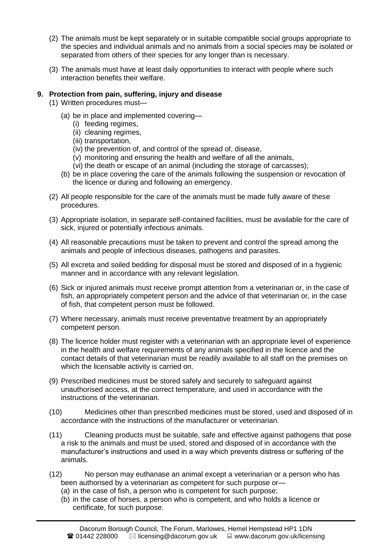- (2) The animals must be kept separately or in suitable compatible social groups appropriate to the species and individual animals and no animals from a social species may be isolated or separated from others of their species for any longer than is necessary.
- (3) The animals must have at least daily opportunities to interact with people where such interaction benefits their welfare.

#### **9. Protection from pain, suffering, injury and disease**

- (1) Written procedures must—
	- (a) be in place and implemented covering—
		- (i) feeding regimes,
		- (ii) cleaning regimes,
		- (iii) transportation,
		- (iv) the prevention of, and control of the spread of, disease,
		- (v) monitoring and ensuring the health and welfare of all the animals,
		- (vi) the death or escape of an animal (including the storage of carcasses);
	- (b) be in place covering the care of the animals following the suspension or revocation of the licence or during and following an emergency.
- (2) All people responsible for the care of the animals must be made fully aware of these procedures.
- (3) Appropriate isolation, in separate self-contained facilities, must be available for the care of sick, injured or potentially infectious animals.
- (4) All reasonable precautions must be taken to prevent and control the spread among the animals and people of infectious diseases, pathogens and parasites.
- (5) All excreta and soiled bedding for disposal must be stored and disposed of in a hygienic manner and in accordance with any relevant legislation.
- (6) Sick or injured animals must receive prompt attention from a veterinarian or, in the case of fish, an appropriately competent person and the advice of that veterinarian or, in the case of fish, that competent person must be followed.
- (7) Where necessary, animals must receive preventative treatment by an appropriately competent person.
- (8) The licence holder must register with a veterinarian with an appropriate level of experience in the health and welfare requirements of any animals specified in the licence and the contact details of that veterinarian must be readily available to all staff on the premises on which the licensable activity is carried on.
- (9) Prescribed medicines must be stored safely and securely to safeguard against unauthorised access, at the correct temperature, and used in accordance with the instructions of the veterinarian.
- (10) Medicines other than prescribed medicines must be stored, used and disposed of in accordance with the instructions of the manufacturer or veterinarian.
- (11) Cleaning products must be suitable, safe and effective against pathogens that pose a risk to the animals and must be used, stored and disposed of in accordance with the manufacturer's instructions and used in a way which prevents distress or suffering of the animals.
- (12) No person may euthanase an animal except a veterinarian or a person who has been authorised by a veterinarian as competent for such purpose or—
	- (a) in the case of fish, a person who is competent for such purpose;
	- (b) in the case of horses, a person who is competent, and who holds a licence or certificate, for such purpose.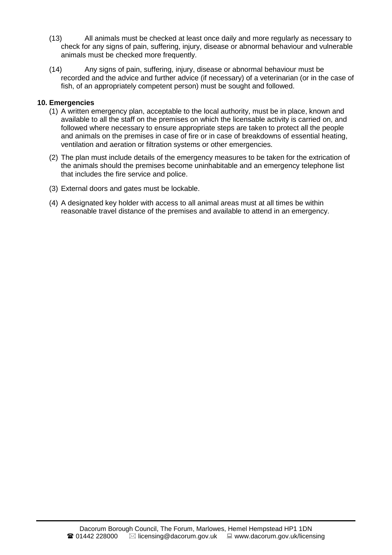- (13) All animals must be checked at least once daily and more regularly as necessary to check for any signs of pain, suffering, injury, disease or abnormal behaviour and vulnerable animals must be checked more frequently.
- (14) Any signs of pain, suffering, injury, disease or abnormal behaviour must be recorded and the advice and further advice (if necessary) of a veterinarian (or in the case of fish, of an appropriately competent person) must be sought and followed.

#### **10. Emergencies**

- (1) A written emergency plan, acceptable to the local authority, must be in place, known and available to all the staff on the premises on which the licensable activity is carried on, and followed where necessary to ensure appropriate steps are taken to protect all the people and animals on the premises in case of fire or in case of breakdowns of essential heating, ventilation and aeration or filtration systems or other emergencies.
- (2) The plan must include details of the emergency measures to be taken for the extrication of the animals should the premises become uninhabitable and an emergency telephone list that includes the fire service and police.
- (3) External doors and gates must be lockable.
- (4) A designated key holder with access to all animal areas must at all times be within reasonable travel distance of the premises and available to attend in an emergency.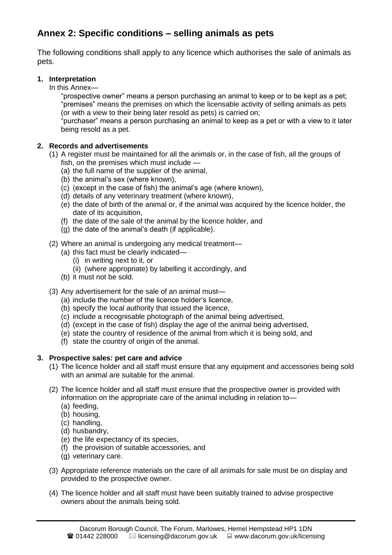# **Annex 2: Specific conditions – selling animals as pets**

The following conditions shall apply to any licence which authorises the sale of animals as pets.

# **1. Interpretation**

In this Annex—

"prospective owner" means a person purchasing an animal to keep or to be kept as a pet; "premises" means the premises on which the licensable activity of selling animals as pets (or with a view to their being later resold as pets) is carried on;

"purchaser" means a person purchasing an animal to keep as a pet or with a view to it later being resold as a pet.

# **2. Records and advertisements**

- (1) A register must be maintained for all the animals or, in the case of fish, all the groups of fish, on the premises which must include —
	- (a) the full name of the supplier of the animal,
	- (b) the animal's sex (where known),
	- (c) (except in the case of fish) the animal's age (where known),
	- (d) details of any veterinary treatment (where known),
	- (e) the date of birth of the animal or, if the animal was acquired by the licence holder, the date of its acquisition,
	- (f) the date of the sale of the animal by the licence holder, and
	- (g) the date of the animal's death (if applicable).
- (2) Where an animal is undergoing any medical treatment—
	- (a) this fact must be clearly indicated—
		- (i) in writing next to it, or
		- (ii) (where appropriate) by labelling it accordingly, and
	- (b) it must not be sold.
- (3) Any advertisement for the sale of an animal must—
	- (a) include the number of the licence holder's licence,
	- (b) specify the local authority that issued the licence,
	- (c) include a recognisable photograph of the animal being advertised,
	- (d) (except in the case of fish) display the age of the animal being advertised,
	- (e) state the country of residence of the animal from which it is being sold, and
	- (f) state the country of origin of the animal.

# **3. Prospective sales: pet care and advice**

- (1) The licence holder and all staff must ensure that any equipment and accessories being sold with an animal are suitable for the animal.
- (2) The licence holder and all staff must ensure that the prospective owner is provided with information on the appropriate care of the animal including in relation to—
	- (a) feeding,
	- (b) housing,
	- (c) handling,
	- (d) husbandry,
	- (e) the life expectancy of its species,
	- (f) the provision of suitable accessories, and
	- (g) veterinary care.
- (3) Appropriate reference materials on the care of all animals for sale must be on display and provided to the prospective owner.
- (4) The licence holder and all staff must have been suitably trained to advise prospective owners about the animals being sold.